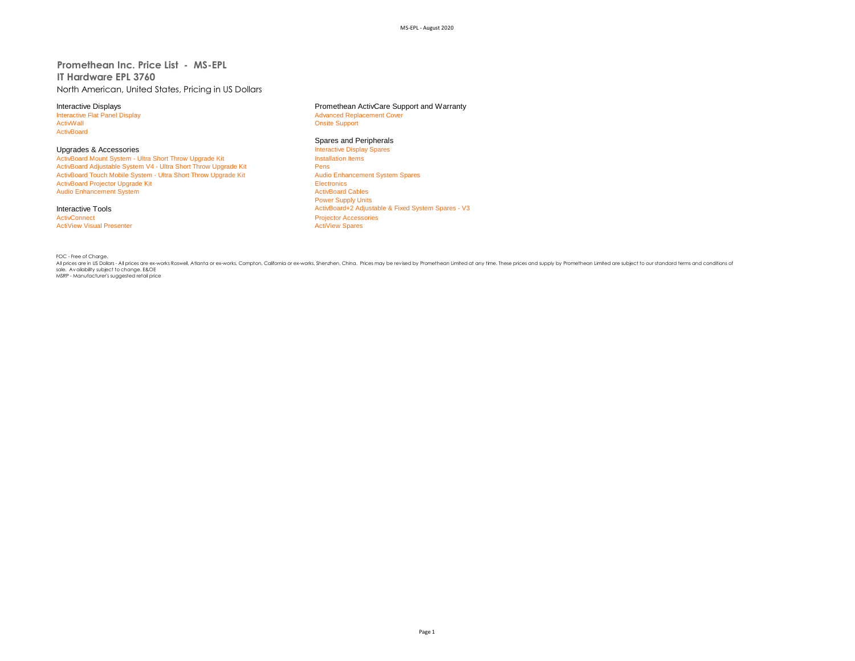## **Promethean Inc. Price List - MS-EPL IT Hardware EPL 3760** North American, United States, Pricing in US Dollars

Interactive Flat Panel Display and The Terminal School and Terminal Advanced Replacement Cover<br>
Advanced Replacement Cover<br>
Advanced Replacement Cover **ActivBoard** 

ActivBoard Mount System - Ultra Short Throw Upgrade Kit ActivBoard Adjustable System V4 - Ultra Short Throw Upgrade Kit **Pens** Pens<br>
Pens Christian Couch Mobile System - Ultra Short Throw Upgrade Kit Pens Audio Enhancement System Spares ActivBoard Touch Mobile System - Ultra Short Throw Upgrade Kit ActivBoard Projector Upgrade Kit Electronics<br>
Audio Enhancement System<br>
ActivBoard Cables Audio Enhancement System

**ActiView Visual Presenter** 

# Interactive Displays<br>
Interactive Flat Panel Display<br> **Interactive Flat Panel Display**<br> **Advanced Replacement Cover**

**Onsite Support** 

### Spares and Peripherals

Upgrades & Accessories<br> **Accessories** Interactive Display Spares<br> **ActivBoard Mount System - Ultra Short Throw Upgrade Kit** Power Supply Units Interactive Tools **ActivBoard+2** Adjustable & Fixed System Spares - V3 ActivConnect **Accessories**<br>
ActiView Visual Presenter<br>
ActiView Spares

FOC - Free of Charge.

All prices are in US Dollars - All prices are ex-works Roswell, Atlanta or ex-works, Compton, California or ex-works, Shenzhen, China. Prices may be revised by Promethean Limited at any time. These prices and supply by Promethean Limited are subject to our standard terms and conditions of sale. Availability subject to change. E&OE MSRP - Manufacturer's suggested retail price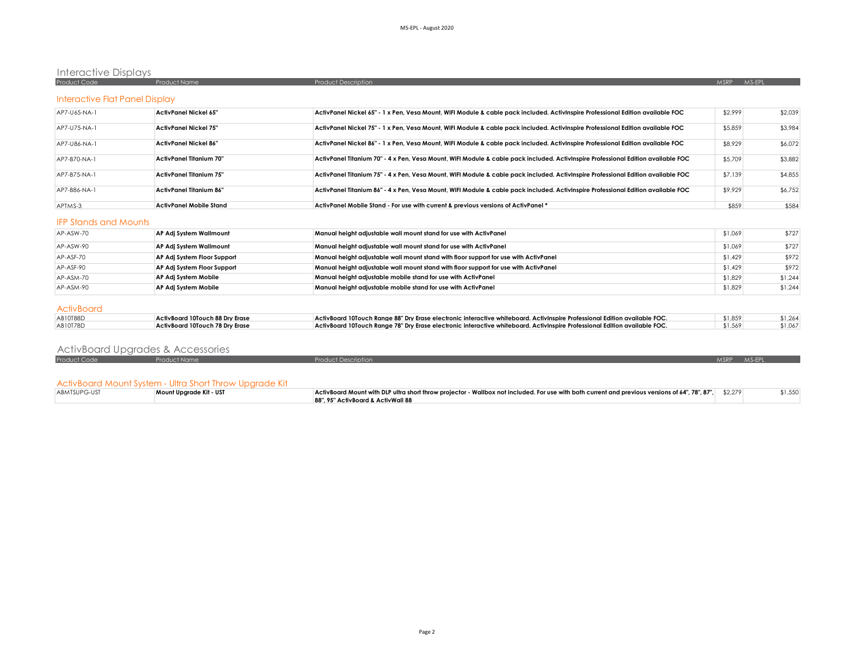## Interactive Displays

| Product Code | Product Name | - Product Description | AAC I<br><b>AASPP</b> |
|--------------|--------------|-----------------------|-----------------------|
|              |              |                       |                       |
|              |              |                       |                       |

## Interactive Flat Panel Display

| AP7-U65-NA-1   | ActivPanel Nickel 65"   | ActivPanel Nickel 65" - 1 x Pen, Vesa Mount, WIFI Module & cable pack included. ActivInspire Professional Edition available FOC   | \$2,999 | \$2,039 |
|----------------|-------------------------|-----------------------------------------------------------------------------------------------------------------------------------|---------|---------|
| AP7-U75-NA-1   | ActivPanel Nickel 75"   | ActivPanel Nickel 75" - 1 x Pen, Vesa Mount, WIFI Module & cable pack included. ActivInspire Professional Edition available FOC   | \$5,859 | \$3,984 |
| AP7-U86-NA-1   | ActivPanel Nickel 86"   | ActivPanel Nickel 86" - 1 x Pen, Vesa Mount, WIFI Module & cable pack included. ActivInspire Professional Edition available FOC   | \$8,929 | \$6,072 |
| AP7-B70-NA-1   | ActivPanel Titanium 70" | ActivPanel Titanium 70" - 4 x Pen, Vesa Mount, WIFI Module & cable pack included. ActivInspire Professional Edition available FOC | \$5,709 | \$3,882 |
| $APZ-BZ5-NA-1$ | ActivPanel Titanium 75" | ActivPanel Titanium 75" - 4 x Pen, Vesa Mount, WIFI Module & cable pack included. ActivInspire Professional Edition available FOC | \$7,139 | \$4,855 |
| AP7-B86-NA-1   | ActivPanel Titanium 86" | ActivPanel Titanium 86" - 4 x Pen, Vesa Mount, WIFI Module & cable pack included. ActivInspire Professional Edition available FOC | \$9,929 | \$6,752 |
| APTMS-3        | ActivPanel Mobile Stand | ActivPanel Mobile Stand - For use with current & previous versions of ActivPanel *                                                | \$859   | \$584   |

### IFP Stands and Mounts

| AP-ASW-70 | AP Adj System Wallmount     | Manual height adjustable wall mount stand for use with ActivPanel                    | \$1,069 | \$727   |
|-----------|-----------------------------|--------------------------------------------------------------------------------------|---------|---------|
| AP-ASW-90 | AP Adj System Wallmount     | Manual height adjustable wall mount stand for use with ActivPanel                    | \$1,069 | \$727   |
| AP-ASF-70 | AP Adj System Floor Support | Manual height adjustable wall mount stand with floor support for use with ActivPanel | \$1,429 | \$972   |
| AP-ASF-90 | AP Adj System Floor Support | Manual height adjustable wall mount stand with floor support for use with ActivPanel | \$1,429 | \$972   |
| AP-ASM-70 | AP Adj System Mobile        | Manual height adjustable mobile stand for use with ActivPanel                        | \$1,829 | \$1,244 |
| AP-ASM-90 | AP Adj System Mobile        | Manual height adjustable mobile stand for use with ActivPanel                        | \$1,829 | \$1,244 |
|           |                             |                                                                                      |         |         |

### **ActivBoard**

| AB10T88D | ActivBoard 10Touch 88 Dry Erase | ActivBoard 10Touch Range 88" Dry Erase electronic interactive whiteboard. ActivInspire Professional Edition available FOC. | \$1,859 | \$1,264 |
|----------|---------------------------------|----------------------------------------------------------------------------------------------------------------------------|---------|---------|
| AB10T78D | ActivBoard 10Touch 78 Drv Erase | ActivBoard 10Touch Range 78" Dry Erase electronic interactive whiteboard. ActivInspire Professional Edition available FOC. | \$1,569 | \$1.067 |

# ActivBoard Upgrades & Accessories

| Product Code | <b>Product Name</b>                                     | <b>Product Description</b>         |                                                                                                                                                           | <b>MSRP</b> | MSEPL |         |
|--------------|---------------------------------------------------------|------------------------------------|-----------------------------------------------------------------------------------------------------------------------------------------------------------|-------------|-------|---------|
|              |                                                         |                                    |                                                                                                                                                           |             |       |         |
|              |                                                         |                                    |                                                                                                                                                           |             |       |         |
|              | ActivBoard Mount System - Ultra Short Throw Upgrade Kit |                                    |                                                                                                                                                           |             |       |         |
| ABMTSUPG-UST | Mount Uparade Kit - UST                                 |                                    | ActivBoard Mount with DLP ultra short throw projector - Wallbox not included. For use with both current and previous versions of 64", 78", 87",   \$2.279 |             |       | \$1,550 |
|              |                                                         | 88", 95" ActivBoard & ActivWall 88 |                                                                                                                                                           |             |       |         |

| I |  |
|---|--|
|---|--|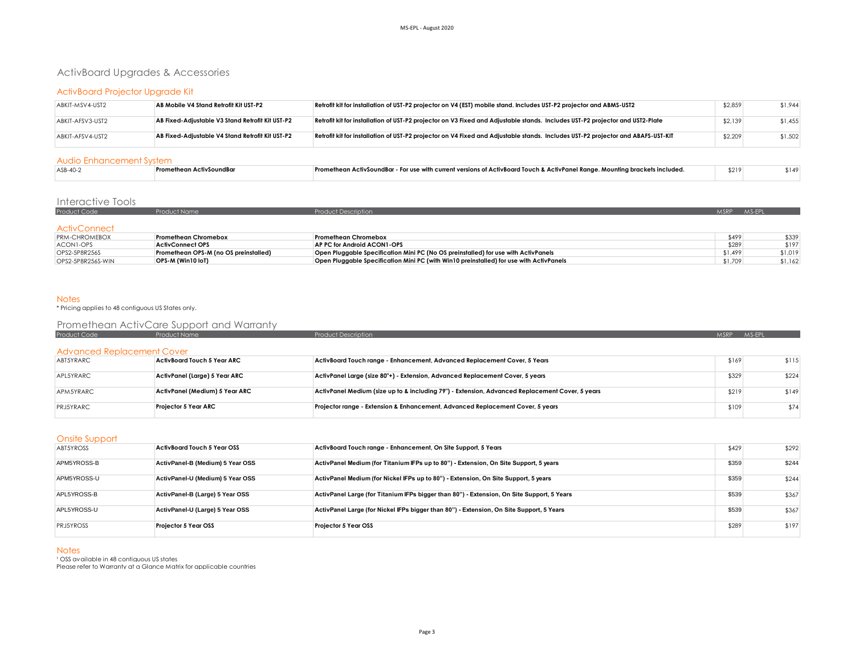# ActivBoard Upgrades & Accessories

## ActivBoard Projector Upgrade Kit

| ABKIT-MSV4-UST2  | AB Mobile V4 Stand Retrofit Kit UST-P2           | Retrofit kit for installation of UST-P2 projector on V4 (EST) mobile stand. Includes UST-P2 projector and ABMS-UST2              | \$2,859 | \$1,944 |
|------------------|--------------------------------------------------|----------------------------------------------------------------------------------------------------------------------------------|---------|---------|
| ABKIT-AFSV3-UST2 | AB Fixed-Adjustable V3 Stand Retrofit Kit UST-P2 | Retrofit kit for installation of UST-P2 projector on V3 Fixed and Adjustable stands. Includes UST-P2 projector and UST2-Plate    | \$2,139 | \$1,455 |
| ABKIT-AFSV4-UST2 | AB Fixed-Adiustable V4 Stand Retrofit Kit UST-P2 | Retrofit kit for installation of UST-P2 projector on V4 Fixed and Adjustable stands. Includes UST-P2 projector and ABAFS-UST-KIT | \$2,209 | \$1,502 |

### Audio Enhancement System

| $ASB-40-2$ | тіузоипав<br>1 U | $\mu$ - For use with current versions of ActivBoard Touch & ActivPanel Ranae. Mountina $^{\star}$<br>.ckets includer<br>ı brack<br>:tivSoundBar<br>nean . | \$219 |  | 14٠ |  |  |  |  |
|------------|------------------|-----------------------------------------------------------------------------------------------------------------------------------------------------------|-------|--|-----|--|--|--|--|
|            |                  |                                                                                                                                                           |       |  |     |  |  |  |  |

## Interactive Tools

| Product Code        | luct Name | ct Description | MSRP MS-FPI |
|---------------------|-----------|----------------|-------------|
|                     |           |                |             |
| <b>ActivConnect</b> |           |                |             |

| <b>PRM-CHROMEBOX</b> | Promethean Chromebox                  | Promethean Chromebox                                                                    | \$499   | \$339   |
|----------------------|---------------------------------------|-----------------------------------------------------------------------------------------|---------|---------|
| ACONI-OPS            | <b>ActivConnect OPS</b>               | AP PC for Android ACON1-OPS                                                             | \$289   | \$197   |
| OPS2-5P8R256S        | Promethean OPS-M (no OS preinstalled) | Open Pluggable Specification Mini PC (No OS preinstalled) for use with ActivPanels      | \$1,499 | \$1,019 |
| OPS2-5P8R256S-WIN    | OPS-M (Win10 loT)                     | Open Pluggable Specification Mini PC (with Win10 preinstalled) for use with ActivPanels | \$1.709 | \$1.162 |

Notes \* Pricing applies to 48 contiguous US States only.

## Promethean ActivCare Support and Warranty

| Product Code                      | Product Name                       | <b>Product Description</b>                                                                      | <b>MSRP</b> | MS-EPL |
|-----------------------------------|------------------------------------|-------------------------------------------------------------------------------------------------|-------------|--------|
|                                   |                                    |                                                                                                 |             |        |
|                                   |                                    |                                                                                                 |             |        |
| <b>Advanced Replacement Cover</b> |                                    |                                                                                                 |             |        |
| ABT5YRARC                         | <b>ActivBoard Touch 5 Year ARC</b> | ActivBoard Touch range - Enhancement, Advanced Replacement Cover, 5 Years                       | \$169       | \$115  |
|                                   |                                    |                                                                                                 |             |        |
| APL5YRARC                         | ActivPanel (Large) 5 Year ARC      | ActivPanel Large (size 80"+) - Extension, Advanced Replacement Cover, 5 years                   | \$329       | \$224  |
|                                   |                                    |                                                                                                 |             |        |
| APM5YRARC                         | ActivPanel (Medium) 5 Year ARC     | ActivPanel Medium (size up to & including 79") - Extension, Advanced Replacement Cover, 5 years | \$219       | \$149  |
|                                   |                                    |                                                                                                 |             |        |
| PRJ5YRARC                         | <b>Projector 5 Year ARC</b>        | Projector range - Extension & Enhancement, Advanced Replacement Cover, 5 years                  | \$109       | \$74   |
|                                   |                                    |                                                                                                 |             |        |

### Onsite Support

| __. _ _ _ _ _ _ _ |                                    |                                                                                            |       |       |
|-------------------|------------------------------------|--------------------------------------------------------------------------------------------|-------|-------|
| ABT5YROSS         | <b>ActivBoard Touch 5 Year OSS</b> | ActivBoard Touch range - Enhancement, On Site Support, 5 Years                             | \$429 | \$292 |
| APM5YROSS-B       | ActivPanel-B (Medium) 5 Year OSS   | ActivPanel Medium (for Titanium IFPs up to 80") - Extension, On Site Support, 5 years      | \$359 | \$244 |
| APM5YROSS-U       | ActivPanel-U (Medium) 5 Year OSS   | ActivPanel Medium (for Nickel IFPs up to 80") - Extension, On Site Support, 5 years        | \$359 | \$244 |
| APL5YROSS-B       | ActivPanel-B (Large) 5 Year OSS    | ActivPanel Large (for Titanium IFPs bigger than 80") - Extension, On Site Support, 5 Years | \$539 | \$367 |
| APL5YROSS-U       | ActivPanel-U (Large) 5 Year OSS    | ActivPanel Large (for Nickel IFPs bigger than 80") - Extension, On Site Support, 5 Years   | \$539 | \$367 |
| <b>PRJ5YROSS</b>  | Projector 5 Year OSS               | <b>Projector 5 Year OSS</b>                                                                | \$289 | \$197 |

### **Notes**

<sup>1</sup> OSS available in 48 contiguous US states

Please refer to Warranty at a Glance Matrix for applicable countries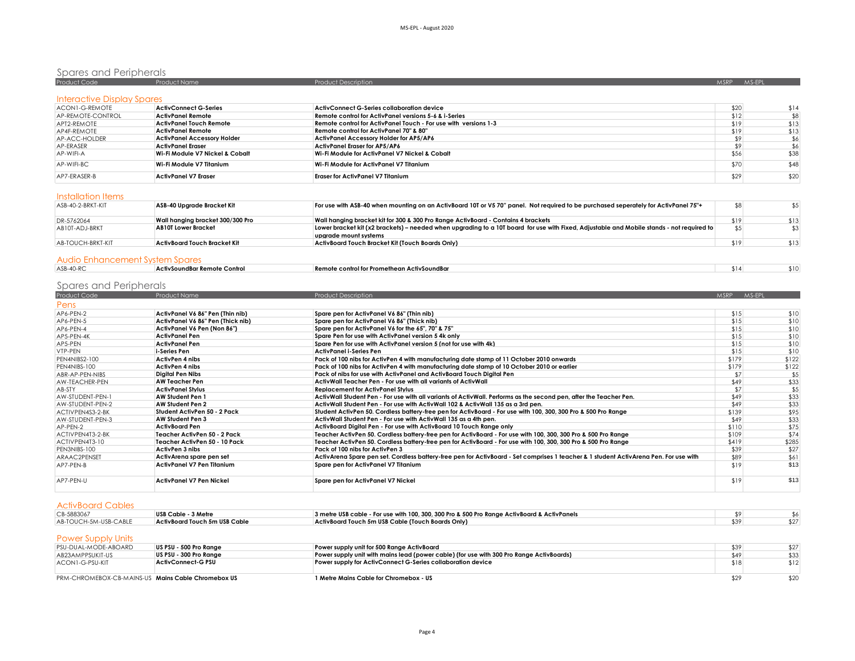| Spares and Peripherals     |                                 |                                                                 |             |        |
|----------------------------|---------------------------------|-----------------------------------------------------------------|-------------|--------|
| Product Code               | <b>Product Name</b>             | <b>Product Description</b>                                      | <b>MSRP</b> | MS-EPL |
| Interactive Display Spares |                                 |                                                                 |             |        |
| ACON1-G-REMOTE             | ActivConnect G-Series           | ActivConnect G-Series collaboration device                      | \$20        | \$14   |
| AP-REMOTE-CONTROL          | ActivPanel Remote               | Remote control for ActivPanel versions 5-6 & i-Series           | \$12        | \$8    |
| APT2-REMOTE                | ActivPanel Touch Remote         | Remote control for ActivPanel Touch - For use with versions 1-3 | \$19        | \$13   |
| AP4F-REMOTE                | ActivPanel Remote               | Remote control for ActivPanel 70" & 80"                         | \$19        | \$13   |
| AP-ACC-HOLDER              | ActivPanel Accessory Holder     | <b>ActivPanel Accessory Holder for AP5/AP6</b>                  | \$9         | \$6    |
| AP-ERASER                  | ActivPanel Eraser               | ActivPanel Eraser for AP5/AP6                                   | \$9         | \$6    |
| AP-WIFI-A                  | Wi-Fi Module V7 Nickel & Cobalt | Wi-Fi Module for ActivPanel V7 Nickel & Cobalt                  | \$56        | \$38   |
| AP-WIFI-BC                 | Wi-Fi Module V7 Titanium        | Wi-Fi Module for ActivPanel V7 Titanium                         | \$70        | \$48   |
| AP7-FRASFR-B               | <b>ActivPanel V7 Eraser</b>     | <b>Eraser for ActivPanel V7 Titanium</b>                        | \$29        | \$20   |

## Installation Items

| ASB-40-2-BRKT-KIT | ASB-40 Upgrade Bracket Kit       | For use with ASB-40 when mounting on an ActivBoard 10T or V5 70" panel. Not required to be purchased seperately for ActivPanel 75"+                                | \$8  |      |
|-------------------|----------------------------------|--------------------------------------------------------------------------------------------------------------------------------------------------------------------|------|------|
| DR-5762064        | Wall hanaina bracket 300/300 Pro | Wall hanging bracket kit for 300 & 300 Pro Range ActivBoard - Contains 4 brackets                                                                                  | \$19 | \$13 |
| AB10T-ADJ-BRKT    | <b>AB10T Lower Bracket</b>       | Lower bracket kit (x2 brackets) – needed when upgrading to a 10T board for use with Fixed, Adjustable and Mobile stands - not required to<br>uparade mount systems |      |      |
| AB-TOUCH-BRKT-KIT | ActivBoard Touch Bracket Kit     | ActivBoard Touch Bracket Kit (Touch Boards Only)                                                                                                                   | \$19 | \$13 |
|                   |                                  |                                                                                                                                                                    |      |      |

## Audio Enhancement System Spares

| ASB-40-RC | ActivSoundBar Remote Control | <b>Remote control for Promethean ActivSoundBar</b> | E 1 A |  |
|-----------|------------------------------|----------------------------------------------------|-------|--|
|           |                              |                                                    |       |  |

# Spares and Peripherals

| Product Code     | Product Name                      | <b>Product Description</b>                                                                                                            | MSRP MS-EPL |       |
|------------------|-----------------------------------|---------------------------------------------------------------------------------------------------------------------------------------|-------------|-------|
| Pens             |                                   |                                                                                                                                       |             |       |
| AP6-PEN-2        | ActivPanel V6 86" Pen (Thin nib)  | Spare pen for ActivPanel V6 86" (Thin nib)                                                                                            | \$15        | \$10  |
| AP6-PEN-5        | ActivPanel V6 86" Pen (Thick nib) | Spare pen for ActivPanel V6 86" (Thick nib)                                                                                           | \$15        | \$10  |
| AP6-PEN-4        | ActivPanel V6 Pen (Non 86")       | Spare pen for ActivPanel V6 for the 65", 70" & 75"                                                                                    | \$15        | \$10  |
| AP5-PEN-4K       | ActivPanel Pen                    | Spare Pen for use with ActivPanel version 5 4k only                                                                                   | \$15        | \$10  |
| AP5-PEN          | <b>ActivPanel Pen</b>             | Spare Pen for use with ActivPanel version 5 (not for use with 4k)                                                                     | \$15        | \$10  |
| VTP-PEN          | i-Series Pen                      | ActivPanel i-Series Pen                                                                                                               | \$15        | \$10  |
| PEN4NIBS2-100    | ActivPen 4 nibs                   | Pack of 100 nibs for ActivPen 4 with manufacturing date stamp of 11 October 2010 onwards                                              | \$179       | \$122 |
| PEN4NIBS-100     | ActivPen 4 nibs                   | Pack of 100 nibs for ActivPen 4 with manufacturing date stamp of 10 October 2010 or earlier                                           | \$179       | \$122 |
| ABR-AP-PEN-NIBS  | Digital Pen Nibs                  | Pack of nibs for use with ActivPanel and ActivBoard Touch Digital Pen                                                                 | \$7         | \$5   |
| AW-TEACHER-PEN   | <b>AW Teacher Pen</b>             | ActivWall Teacher Pen - For use with all variants of ActivWall                                                                        | \$49        | \$33  |
| AB-STY           | <b>ActivPanel Stylus</b>          | <b>Replacement for ActivPanel Stylus</b>                                                                                              | \$7         | \$5   |
| AW-STUDENT-PEN-1 | <b>AW Student Pen 1</b>           | ActivWall Student Pen - For use with all variants of ActivWall. Performs as the second pen, after the Teacher Pen.                    | \$49        | \$33  |
| AW-STUDENT-PEN-2 | <b>AW Student Pen 2</b>           | ActivWall Student Pen - For use with ActivWall 102 & ActivWall 135 as a 3rd pen.                                                      | \$49        | \$33  |
| ACTIVPEN4S3-2-BK | Student ActivPen 50 - 2 Pack      | Student ActivPen 50. Cordless battery-free pen for ActivBoard - For use with 100, 300, 300 Pro & 500 Pro Range                        | \$139       | \$95  |
| AW-STUDENT-PEN-3 | AW Student Pen 3                  | ActivWall Student Pen - For use with ActivWall 135 as a 4th pen.                                                                      | \$49        | \$33  |
| AP-PEN-2         | ActivBoard Pen                    | ActivBoard Digital Pen - For use with ActivBoard 10 Touch Range only                                                                  | \$110       | \$75  |
| ACTIVPEN4T3-2-BK | Teacher ActivPen 50 - 2 Pack      | Teacher ActivPen 50, Cordless battery-free pen for ActivBoard - For use with 100, 300, 300 Pro & 500 Pro Range                        | \$109       | \$74  |
| ACTIVPEN4T3-10   | Teacher ActivPen 50 - 10 Pack     | Teacher ActivPen 50. Cordless battery-free pen for ActivBoard - For use with 100, 300, 300 Pro & 500 Pro Range                        | \$419       | \$285 |
| PEN3NIBS-100     | ActivPen 3 nibs                   | Pack of 100 nibs for ActivPen 3                                                                                                       | \$39        | \$27  |
| ARAAC2PENSET     | ActivArena spare pen set          | ActivArena Spare pen set. Cordless battery-free pen for ActivBoard - Set comprises 1 teacher & 1 student ActivArena Pen. For use with | \$89        | \$61  |
| AP7-PFN-B        | ActivPanel V7 Pen Titanium        | Spare pen for ActivPanel V7 Titanium                                                                                                  | \$19        | \$13  |
| AP7-PEN-U        | <b>ActivPanel V7 Pen Nickel</b>   | Spare pen for ActivPanel V7 Nickel                                                                                                    | \$19        | \$13  |

### ActivBoard Cables

| CB-5883067            | USB Cable - 3 Metre           | 3 metre USB cable - For use with 100, 300, 300 Pro & 500 Pro Range ActivBoard & ActivPanels |  |  |  |  |
|-----------------------|-------------------------------|---------------------------------------------------------------------------------------------|--|--|--|--|
| AB-TOUCH-5M-USB-CABLE | ActivBoard Touch 5m USB Cable | ActivBoard Touch 5m USB Cable (Touch Boards Only)                                           |  |  |  |  |

## Power Supply Units

| PSU-DUAL-MODE-ABOARD                               | US PSU - 500 Pro Ranae | Power supply unit for 500 Range ActivBoard                                               | \$39 | \$27 |
|----------------------------------------------------|------------------------|------------------------------------------------------------------------------------------|------|------|
| AB23AMPPSUKIT-US                                   | US PSU - 300 Pro Ranae | Power supply unit with mains lead (power cable) (for use with 300 Pro Range ActivBoards) | \$49 | \$33 |
| ACON1-G-PSU-KIT                                    | ActivConnect-G PSU     | Power supply for ActivConnect G-Series collaboration device                              | \$18 | \$12 |
|                                                    |                        |                                                                                          |      |      |
| PRM-CHROMEBOX-CB-MAINS-US Mains Cable Chromebox US |                        | 1 Metre Mains Cable for Chromebox - US                                                   | \$29 | \$20 |